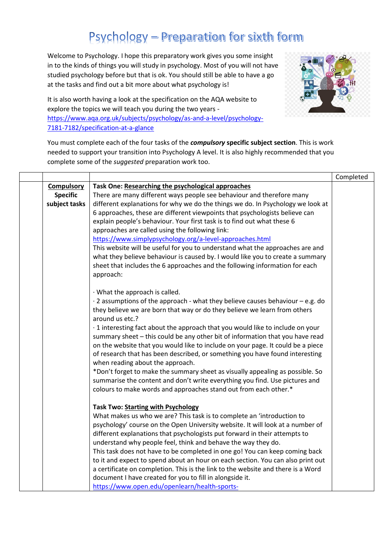## Psychology - Preparation for sixth form

Welcome to Psychology. I hope this preparatory work gives you some insight in to the kinds of things you will study in psychology. Most of you will not have studied psychology before but that is ok. You should still be able to have a go at the tasks and find out a bit more about what psychology is!



It is also worth having a look at the specification on the AQA website to explore the topics we will teach you during the two years [https://www.aqa.org.uk/subjects/psychology/as-and-a-level/psychology-](https://www.aqa.org.uk/subjects/psychology/as-and-a-level/psychology-7181-7182/specification-at-a-glance)[7181-7182/specification-at-a-glance](https://www.aqa.org.uk/subjects/psychology/as-and-a-level/psychology-7181-7182/specification-at-a-glance)

You must complete each of the four tasks of the *compulsory* **specific subject section**. This is work needed to support your transition into Psychology A level. It is also highly recommended that you complete some of the *suggested* preparation work too.

|                   |                                                                                      | Completed |
|-------------------|--------------------------------------------------------------------------------------|-----------|
| <b>Compulsory</b> | Task One: Researching the psychological approaches                                   |           |
| <b>Specific</b>   | There are many different ways people see behaviour and therefore many                |           |
| subject tasks     | different explanations for why we do the things we do. In Psychology we look at      |           |
|                   | 6 approaches, these are different viewpoints that psychologists believe can          |           |
|                   | explain people's behaviour. Your first task is to find out what these 6              |           |
|                   | approaches are called using the following link:                                      |           |
|                   | https://www.simplypsychology.org/a-level-approaches.html                             |           |
|                   | This website will be useful for you to understand what the approaches are and        |           |
|                   | what they believe behaviour is caused by. I would like you to create a summary       |           |
|                   | sheet that includes the 6 approaches and the following information for each          |           |
|                   | approach:                                                                            |           |
|                   |                                                                                      |           |
|                   | · What the approach is called.                                                       |           |
|                   | $\cdot$ 2 assumptions of the approach - what they believe causes behaviour – e.g. do |           |
|                   | they believe we are born that way or do they believe we learn from others            |           |
|                   | around us etc.?                                                                      |           |
|                   | · 1 interesting fact about the approach that you would like to include on your       |           |
|                   | summary sheet - this could be any other bit of information that you have read        |           |
|                   | on the website that you would like to include on your page. It could be a piece      |           |
|                   | of research that has been described, or something you have found interesting         |           |
|                   | when reading about the approach.                                                     |           |
|                   | *Don't forget to make the summary sheet as visually appealing as possible. So        |           |
|                   | summarise the content and don't write everything you find. Use pictures and          |           |
|                   | colours to make words and approaches stand out from each other.*                     |           |
|                   |                                                                                      |           |
|                   | <b>Task Two: Starting with Psychology</b>                                            |           |
|                   | What makes us who we are? This task is to complete an 'introduction to               |           |
|                   | psychology' course on the Open University website. It will look at a number of       |           |
|                   |                                                                                      |           |
|                   | different explanations that psychologists put forward in their attempts to           |           |
|                   | understand why people feel, think and behave the way they do.                        |           |
|                   | This task does not have to be completed in one go! You can keep coming back          |           |
|                   | to it and expect to spend about an hour on each section. You can also print out      |           |
|                   | a certificate on completion. This is the link to the website and there is a Word     |           |
|                   | document I have created for you to fill in alongside it.                             |           |
|                   | https://www.open.edu/openlearn/health-sports-                                        |           |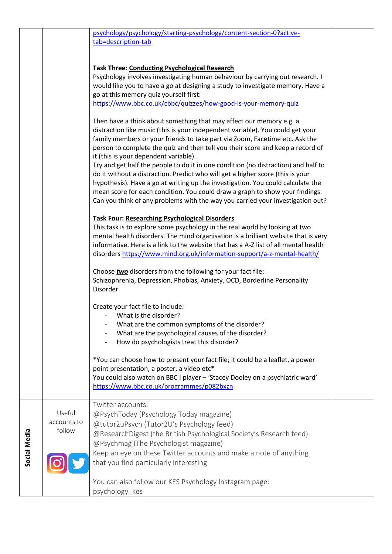|              |                                 | psychology/psychology/starting-psychology/content-section-0?active-<br>tab=description-tab                                                                                                                                                                                                                                                                                                                                                                                                                                                                                                                                                                                                                                                                                                   |  |
|--------------|---------------------------------|----------------------------------------------------------------------------------------------------------------------------------------------------------------------------------------------------------------------------------------------------------------------------------------------------------------------------------------------------------------------------------------------------------------------------------------------------------------------------------------------------------------------------------------------------------------------------------------------------------------------------------------------------------------------------------------------------------------------------------------------------------------------------------------------|--|
|              |                                 | <b>Task Three: Conducting Psychological Research</b><br>Psychology involves investigating human behaviour by carrying out research. I<br>would like you to have a go at designing a study to investigate memory. Have a<br>go at this memory quiz yourself first:<br>https://www.bbc.co.uk/cbbc/quizzes/how-good-is-your-memory-quiz                                                                                                                                                                                                                                                                                                                                                                                                                                                         |  |
|              |                                 | Then have a think about something that may affect our memory e.g. a<br>distraction like music (this is your independent variable). You could get your<br>family members or your friends to take part via Zoom, Facetime etc. Ask the<br>person to complete the quiz and then tell you their score and keep a record of<br>it (this is your dependent variable).<br>Try and get half the people to do it in one condition (no distraction) and half to<br>do it without a distraction. Predict who will get a higher score (this is your<br>hypothesis). Have a go at writing up the investigation. You could calculate the<br>mean score for each condition. You could draw a graph to show your findings.<br>Can you think of any problems with the way you carried your investigation out? |  |
|              |                                 | <b>Task Four: Researching Psychological Disorders</b><br>This task is to explore some psychology in the real world by looking at two<br>mental health disorders. The mind organisation is a brilliant website that is very<br>informative. Here is a link to the website that has a A-Z list of all mental health<br>disorders https://www.mind.org.uk/information-support/a-z-mental-health/<br>Choose two disorders from the following for your fact file:<br>Schizophrenia, Depression, Phobias, Anxiety, OCD, Borderline Personality<br>Disorder                                                                                                                                                                                                                                         |  |
|              |                                 | Create your fact file to include:<br>What is the disorder?<br>What are the common symptoms of the disorder?<br>What are the psychological causes of the disorder?<br>How do psychologists treat this disorder?<br>*You can choose how to present your fact file; it could be a leaflet, a power<br>point presentation, a poster, a video etc*<br>You could also watch on BBC I player - 'Stacey Dooley on a psychiatric ward'<br>https://www.bbc.co.uk/programmes/p082bxzn                                                                                                                                                                                                                                                                                                                   |  |
| Social Media | Useful<br>accounts to<br>follow | Twitter accounts:<br>@PsychToday (Psychology Today magazine)<br>@tutor2uPsych (Tutor2U's Psychology feed)<br>@ResearchDigest (the British Psychological Society's Research feed)<br>@Psychmag (The Psychologist magazine)<br>Keep an eye on these Twitter accounts and make a note of anything<br>that you find particularly interesting                                                                                                                                                                                                                                                                                                                                                                                                                                                     |  |
|              |                                 | You can also follow our KES Psychology Instagram page:<br>psychology kes                                                                                                                                                                                                                                                                                                                                                                                                                                                                                                                                                                                                                                                                                                                     |  |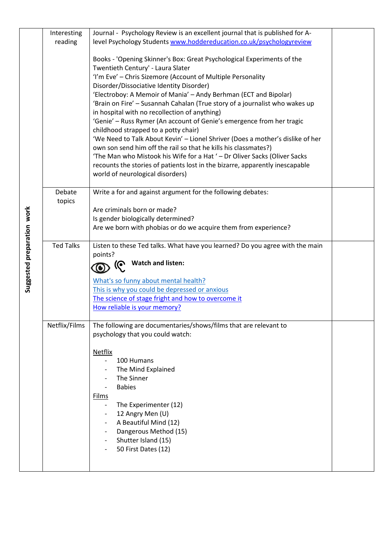|                            | Interesting      | Journal - Psychology Review is an excellent journal that is published for A-                                                                 |  |
|----------------------------|------------------|----------------------------------------------------------------------------------------------------------------------------------------------|--|
|                            | reading          | level Psychology Students www.hoddereducation.co.uk/psychologyreview                                                                         |  |
|                            |                  |                                                                                                                                              |  |
|                            |                  | Books - 'Opening Skinner's Box: Great Psychological Experiments of the                                                                       |  |
|                            |                  | Twentieth Century' - Laura Slater                                                                                                            |  |
|                            |                  | 'I'm Eve' - Chris Sizemore (Account of Multiple Personality                                                                                  |  |
|                            |                  | Disorder/Dissociative Identity Disorder)                                                                                                     |  |
|                            |                  | 'Electroboy: A Memoir of Mania' - Andy Berhman (ECT and Bipolar)                                                                             |  |
|                            |                  | 'Brain on Fire' - Susannah Cahalan (True story of a journalist who wakes up                                                                  |  |
|                            |                  | in hospital with no recollection of anything)                                                                                                |  |
|                            |                  | 'Genie' - Russ Rymer (An account of Genie's emergence from her tragic                                                                        |  |
|                            |                  | childhood strapped to a potty chair)                                                                                                         |  |
|                            |                  | 'We Need to Talk About Kevin' - Lionel Shriver (Does a mother's dislike of her                                                               |  |
|                            |                  | own son send him off the rail so that he kills his classmates?)<br>'The Man who Mistook his Wife for a Hat ' - Dr Oliver Sacks (Oliver Sacks |  |
|                            |                  | recounts the stories of patients lost in the bizarre, apparently inescapable                                                                 |  |
|                            |                  | world of neurological disorders)                                                                                                             |  |
|                            |                  |                                                                                                                                              |  |
|                            | Debate           | Write a for and against argument for the following debates:                                                                                  |  |
|                            | topics           |                                                                                                                                              |  |
|                            |                  | Are criminals born or made?                                                                                                                  |  |
|                            |                  | Is gender biologically determined?                                                                                                           |  |
|                            |                  | Are we born with phobias or do we acquire them from experience?                                                                              |  |
|                            |                  |                                                                                                                                              |  |
| Suggested preparation work | <b>Ted Talks</b> | Listen to these Ted talks. What have you learned? Do you agree with the main                                                                 |  |
|                            |                  | points?                                                                                                                                      |  |
|                            |                  | <b>Watch and listen:</b><br>ര                                                                                                                |  |
|                            |                  |                                                                                                                                              |  |
|                            |                  | What's so funny about mental health?                                                                                                         |  |
|                            |                  | This is why you could be depressed or anxious                                                                                                |  |
|                            |                  | The science of stage fright and how to overcome it                                                                                           |  |
|                            |                  | How reliable is your memory?                                                                                                                 |  |
|                            | Netflix/Films    | The following are documentaries/shows/films that are relevant to                                                                             |  |
|                            |                  | psychology that you could watch:                                                                                                             |  |
|                            |                  |                                                                                                                                              |  |
|                            |                  | <b>Netflix</b>                                                                                                                               |  |
|                            |                  | 100 Humans<br>$\overline{\phantom{a}}$                                                                                                       |  |
|                            |                  | The Mind Explained                                                                                                                           |  |
|                            |                  | The Sinner                                                                                                                                   |  |
|                            |                  | <b>Babies</b>                                                                                                                                |  |
|                            |                  | <b>Films</b>                                                                                                                                 |  |
|                            |                  | The Experimenter (12)<br>$\overline{\phantom{a}}$                                                                                            |  |
|                            |                  | 12 Angry Men (U)                                                                                                                             |  |
|                            |                  | A Beautiful Mind (12)                                                                                                                        |  |
|                            |                  | Dangerous Method (15)                                                                                                                        |  |
|                            |                  | Shutter Island (15)                                                                                                                          |  |
|                            |                  | 50 First Dates (12)                                                                                                                          |  |
|                            |                  |                                                                                                                                              |  |
|                            |                  |                                                                                                                                              |  |